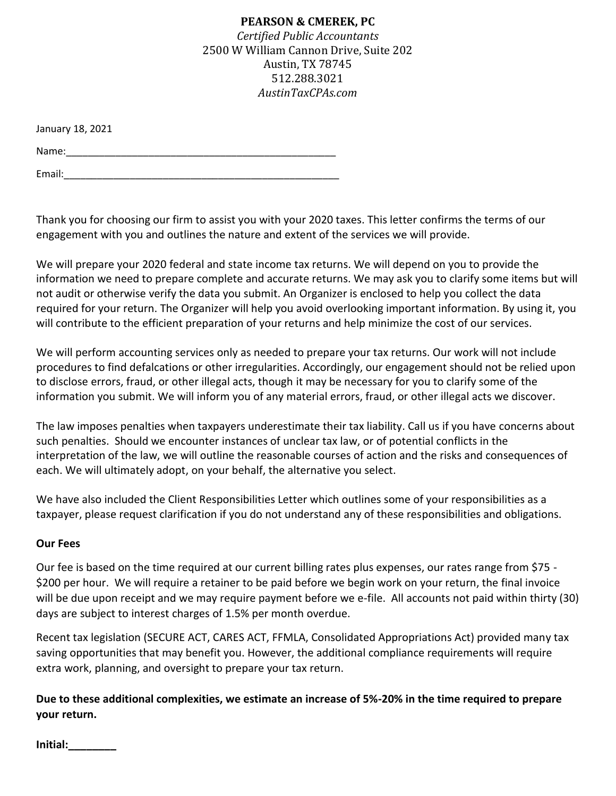January 18, 2021

Name:\_\_\_\_\_\_\_\_\_\_\_\_\_\_\_\_\_\_\_\_\_\_\_\_\_\_\_\_\_\_\_\_\_\_\_\_\_\_\_\_\_\_\_\_\_\_\_\_\_

Email:\_\_\_\_\_\_\_\_\_\_\_\_\_\_\_\_\_\_\_\_\_\_\_\_\_\_\_\_\_\_\_\_\_\_\_\_\_\_\_\_\_\_\_\_\_\_\_\_\_\_

Thank you for choosing our firm to assist you with your 2020 taxes. This letter confirms the terms of our engagement with you and outlines the nature and extent of the services we will provide.

We will prepare your 2020 federal and state income tax returns. We will depend on you to provide the information we need to prepare complete and accurate returns. We may ask you to clarify some items but will not audit or otherwise verify the data you submit. An Organizer is enclosed to help you collect the data required for your return. The Organizer will help you avoid overlooking important information. By using it, you will contribute to the efficient preparation of your returns and help minimize the cost of our services.

We will perform accounting services only as needed to prepare your tax returns. Our work will not include procedures to find defalcations or other irregularities. Accordingly, our engagement should not be relied upon to disclose errors, fraud, or other illegal acts, though it may be necessary for you to clarify some of the information you submit. We will inform you of any material errors, fraud, or other illegal acts we discover.

The law imposes penalties when taxpayers underestimate their tax liability. Call us if you have concerns about such penalties. Should we encounter instances of unclear tax law, or of potential conflicts in the interpretation of the law, we will outline the reasonable courses of action and the risks and consequences of each. We will ultimately adopt, on your behalf, the alternative you select.

We have also included the Client Responsibilities Letter which outlines some of your responsibilities as a taxpayer, please request clarification if you do not understand any of these responsibilities and obligations.

## **Our Fees**

Our fee is based on the time required at our current billing rates plus expenses, our rates range from \$75 - \$200 per hour. We will require a retainer to be paid before we begin work on your return, the final invoice will be due upon receipt and we may require payment before we e-file. All accounts not paid within thirty (30) days are subject to interest charges of 1.5% per month overdue.

Recent tax legislation (SECURE ACT, CARES ACT, FFMLA, Consolidated Appropriations Act) provided many tax saving opportunities that may benefit you. However, the additional compliance requirements will require extra work, planning, and oversight to prepare your tax return.

# **Due to these additional complexities, we estimate an increase of 5%-20% in the time required to prepare your return.**

**Initial:\_\_\_\_\_\_\_\_**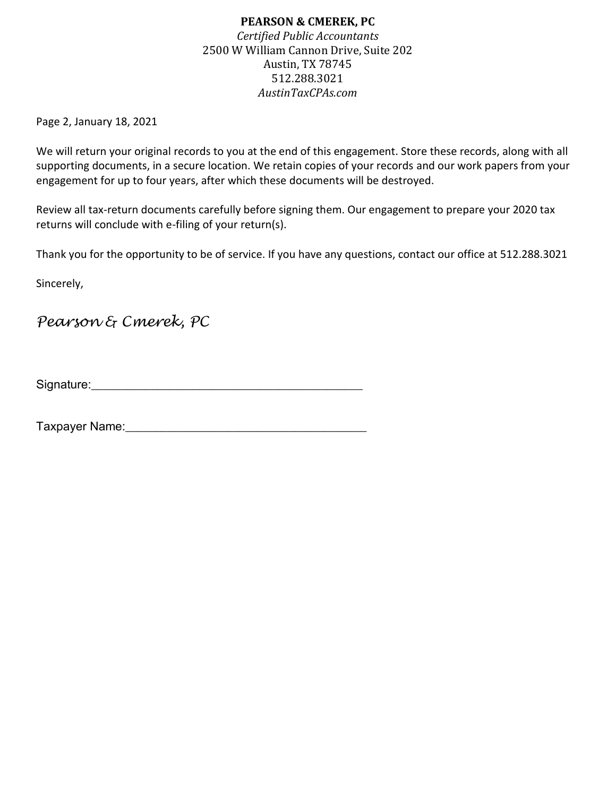Page 2, January 18, 2021

We will return your original records to you at the end of this engagement. Store these records, along with all supporting documents, in a secure location. We retain copies of your records and our work papers from your engagement for up to four years, after which these documents will be destroyed.

Review all tax-return documents carefully before signing them. Our engagement to prepare your 2020 tax returns will conclude with e-filing of your return(s).

Thank you for the opportunity to be of service. If you have any questions, contact our office at 512.288.3021

Sincerely,

*Pearson & Cmerek, PC*

Signature:\_\_\_\_\_\_\_\_\_\_\_\_\_\_\_\_\_\_\_\_\_\_\_\_\_\_\_\_\_\_\_\_\_\_\_\_\_\_\_\_\_\_\_\_\_

Taxpayer Name:\_\_\_\_\_\_\_\_\_\_\_\_\_\_\_\_\_\_\_\_\_\_\_\_\_\_\_\_\_\_\_\_\_\_\_\_\_\_\_\_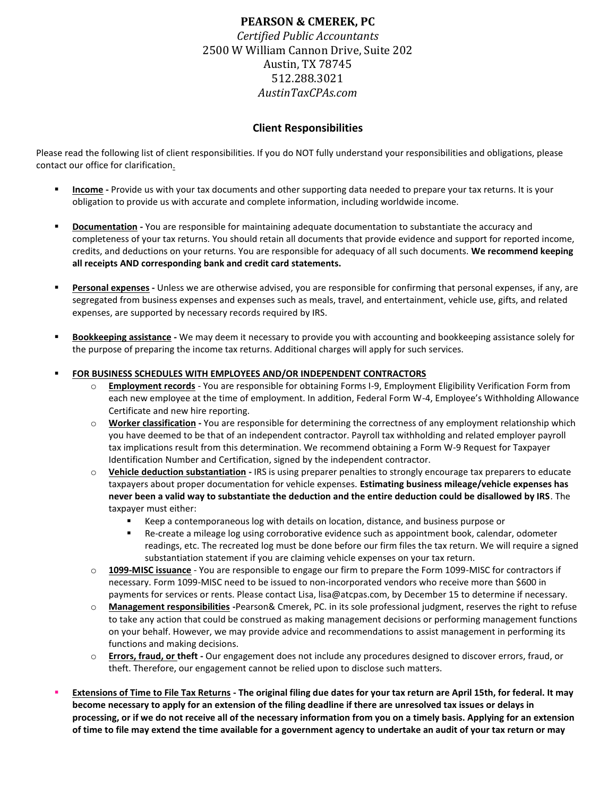### **Client Responsibilities**

Please read the following list of client responsibilities. If you do NOT fully understand your responsibilities and obligations, please contact our office for clarification.

- **Income -** Provide us with your tax documents and other supporting data needed to prepare your tax returns. It is your obligation to provide us with accurate and complete information, including worldwide income.
- **Documentation -** You are responsible for maintaining adequate documentation to substantiate the accuracy and completeness of your tax returns. You should retain all documents that provide evidence and support for reported income, credits, and deductions on your returns. You are responsible for adequacy of all such documents. **We recommend keeping all receipts AND corresponding bank and credit card statements.**
- **Personal expenses -** Unless we are otherwise advised, you are responsible for confirming that personal expenses, if any, are segregated from business expenses and expenses such as meals, travel, and entertainment, vehicle use, gifts, and related expenses, are supported by necessary records required by IRS.
- **Bookkeeping assistance -** We may deem it necessary to provide you with accounting and bookkeeping assistance solely for the purpose of preparing the income tax returns. Additional charges will apply for such services.

### **FOR BUSINESS SCHEDULES WITH EMPLOYEES AND/OR INDEPENDENT CONTRACTORS**

- o **Employment records** You are responsible for obtaining Forms I-9, Employment Eligibility Verification Form from each new employee at the time of employment. In addition, Federal Form W-4, Employee's Withholding Allowance Certificate and new hire reporting.
- o **Worker classification -** You are responsible for determining the correctness of any employment relationship which you have deemed to be that of an independent contractor. Payroll tax withholding and related employer payroll tax implications result from this determination. We recommend obtaining a Form W-9 Request for Taxpayer Identification Number and Certification, signed by the independent contractor.
- o **Vehicle deduction substantiation -** IRS is using preparer penalties to strongly encourage tax preparers to educate taxpayers about proper documentation for vehicle expenses. **Estimating business mileage/vehicle expenses has never been a valid way to substantiate the deduction and the entire deduction could be disallowed by IRS**. The taxpayer must either:
	- Keep a contemporaneous log with details on location, distance, and business purpose or
	- Re-create a mileage log using corroborative evidence such as appointment book, calendar, odometer readings, etc. The recreated log must be done before our firm files the tax return. We will require a signed substantiation statement if you are claiming vehicle expenses on your tax return.
- o **1099-MISC issuance** You are responsible to engage our firm to prepare the Form 1099-MISC for contractors if necessary. Form 1099-MISC need to be issued to non-incorporated vendors who receive more than \$600 in payments for services or rents. Please contact Lisa, lisa@atcpas.com, by December 15 to determine if necessary.
- o **Management responsibilities -**Pearson& Cmerek, PC. in its sole professional judgment, reserves the right to refuse to take any action that could be construed as making management decisions or performing management functions on your behalf. However, we may provide advice and recommendations to assist management in performing its functions and making decisions.
- o **Errors, fraud, or theft -** Our engagement does not include any procedures designed to discover errors, fraud, or theft. Therefore, our engagement cannot be relied upon to disclose such matters.
- **Extensions of Time to File Tax Returns - The original filing due dates for your tax return are April 15th, for federal. It may become necessary to apply for an extension of the filing deadline if there are unresolved tax issues or delays in processing, or if we do not receive all of the necessary information from you on a timely basis. Applying for an extension of time to file may extend the time available for a government agency to undertake an audit of your tax return or may**